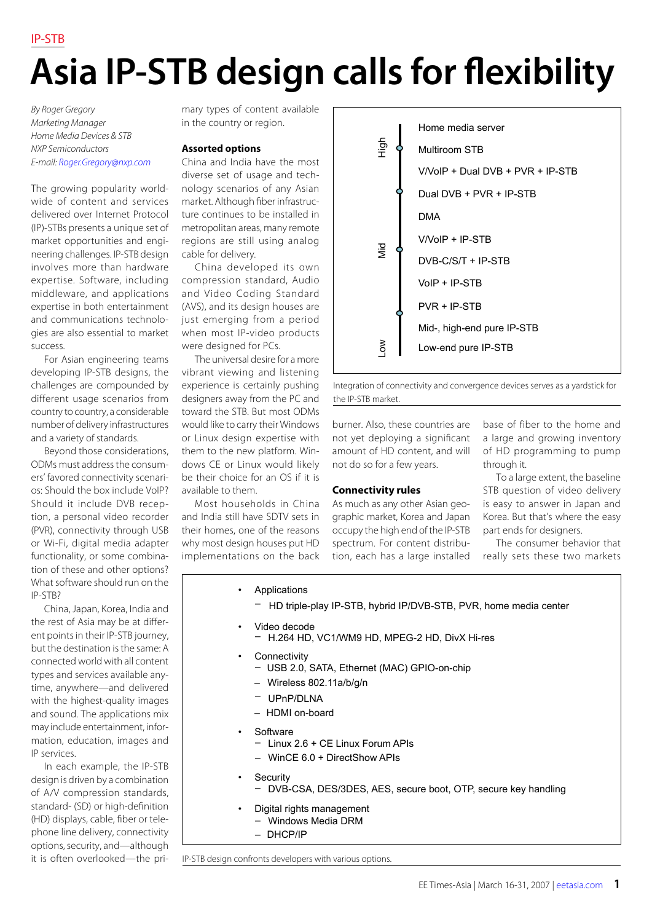## **Asia IP-STB design calls for flexibility**

*By Roger Gregory Marketing Manager Home Media Devices & STB NXP Semiconductors E-mail: [Roger.Gregory@nxp.com](mailto:Roger.Gregory@nxp.com)*

The growing popularity worldwide of content and services delivered over Internet Protocol (IP)-STBs presents a unique set of market opportunities and engineering challenges. IP-STB design involves more than hardware expertise. Software, including middleware, and applications expertise in both entertainment and communications technologies are also essential to market success.

For Asian engineering teams developing IP-STB designs, the challenges are compounded by different usage scenarios from country to country, a considerable number of delivery infrastructures and a variety of standards.

Beyond those considerations, ODMs must address the consumers' favored connectivity scenarios: Should the box include VoIP? Should it include DVB reception, a personal video recorder (PVR), connectivity through USB or Wi-Fi, digital media adapter functionality, or some combination of these and other options? What software should run on the IP-STB?

China, Japan, Korea, India and the rest of Asia may be at different points in their IP-STB journey, but the destination is the same: A connected world with all content types and services available anytime, anywhere—and delivered with the highest-quality images and sound. The applications mix may include entertainment, information, education, images and IP services.

In each example, the IP-STB design is driven by a combination of A/V compression standards, standard- (SD) or high-definition (HD) displays, cable, fiber or telephone line delivery, connectivity options, security, and—although it is often overlooked—the primary types of content available in the country or region.

## **Assorted options**

China and India have the most diverse set of usage and technology scenarios of any Asian market. Although fiber infrastructure continues to be installed in metropolitan areas, many remote regions are still using analog cable for delivery.

China developed its own compression standard, Audio and Video Coding Standard (AVS), and its design houses are just emerging from a period when most IP-video products were designed for PCs.

The universal desire for a more vibrant viewing and listening experience is certainly pushing designers away from the PC and toward the STB. But most ODMs would like to carry their Windows or Linux design expertise with them to the new platform. Windows CE or Linux would likely be their choice for an OS if it is available to them.

Most households in China and India still have SDTV sets in their homes, one of the reasons why most design houses put HD implementations on the back



Integration of connectivity and convergence devices serves as a yardstick for the IP-STB market.

burner. Also, these countries are not yet deploying a significant amount of HD content, and will not do so for a few years.

As much as any other Asian geographic market, Korea and Japan occupy the high end of the IP-STB spectrum. For content distribution, each has a large installed

## base of fiber to the home and a large and growing inventory of HD programming to pump through it.

To a large extent, the baseline STB question of video delivery is easy to answer in Japan and Korea. But that's where the easy part ends for designers.

The consumer behavior that really sets these two markets

**Applications** 

– HD triple-play IP-STB, hybrid IP/DVB-STB, PVR, home media center

- Video decode
	- H.264 HD, VC1/WM9 HD, MPEG-2 HD, DivX Hi-res

**Connectivity rules**

- Connectivity
	- USB 2.0, SATA, Ethernet (MAC) GPIO-on-chip
	- Wireless 802.11a/b/g/n
	- UPnP/DLNA
	- HDMI on-board
- Software
	- Linux 2.6 + CE Linux Forum APIs
	- WinCE 6.0 + DirectShow APIs
- **Security** 
	- DVB-CSA, DES/3DES, AES, secure boot, OTP, secure key handling
	- Digital rights management
	- Windows Media DRM
	- DHCP/IP

IP-STB design confronts developers with various options.